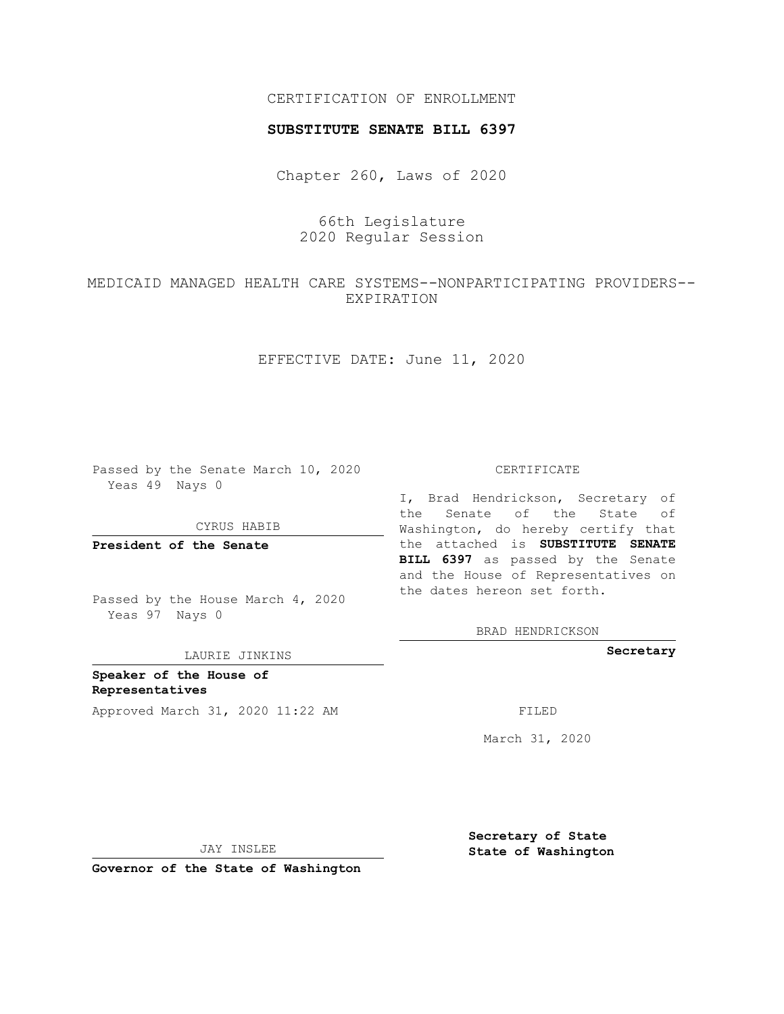## CERTIFICATION OF ENROLLMENT

## **SUBSTITUTE SENATE BILL 6397**

Chapter 260, Laws of 2020

66th Legislature 2020 Regular Session

MEDICAID MANAGED HEALTH CARE SYSTEMS--NONPARTICIPATING PROVIDERS-- EXPIRATION

EFFECTIVE DATE: June 11, 2020

Passed by the Senate March 10, 2020 Yeas 49 Nays 0

CYRUS HABIB

**President of the Senate**

Passed by the House March 4, 2020 Yeas 97 Nays 0

LAURIE JINKINS

**Speaker of the House of Representatives** Approved March 31, 2020 11:22 AM FILED

CERTIFICATE

I, Brad Hendrickson, Secretary of the Senate of the State of Washington, do hereby certify that the attached is **SUBSTITUTE SENATE BILL 6397** as passed by the Senate and the House of Representatives on the dates hereon set forth.

BRAD HENDRICKSON

**Secretary**

March 31, 2020

JAY INSLEE

**Governor of the State of Washington**

**Secretary of State State of Washington**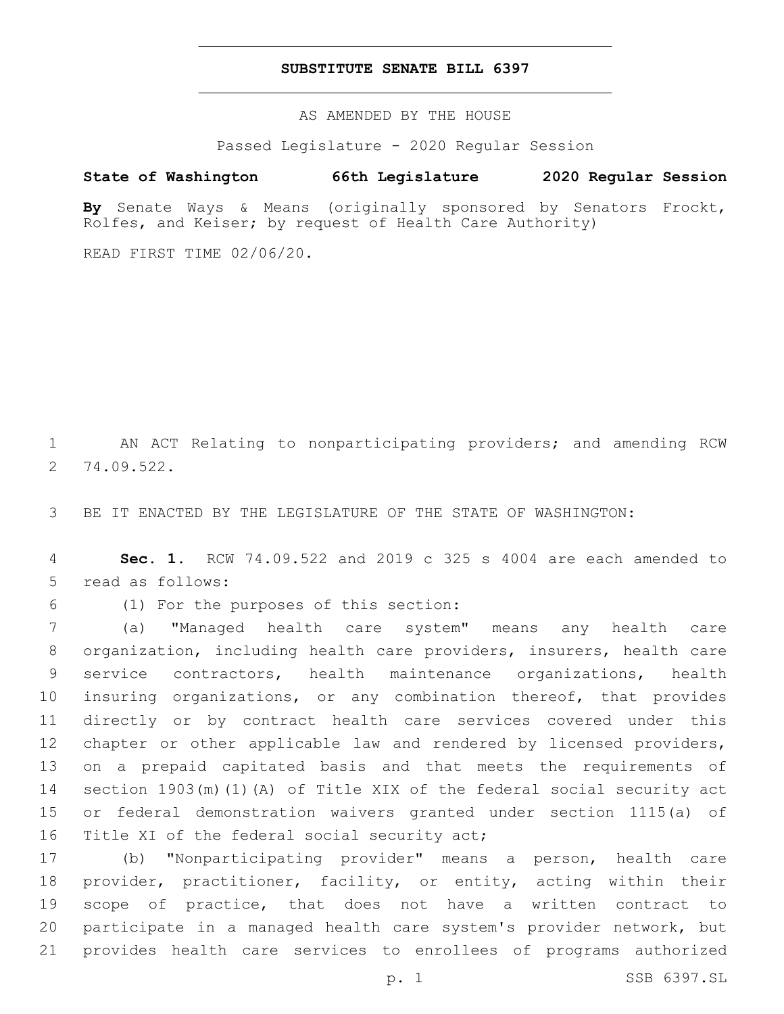## **SUBSTITUTE SENATE BILL 6397**

AS AMENDED BY THE HOUSE

Passed Legislature - 2020 Regular Session

## **State of Washington 66th Legislature 2020 Regular Session**

**By** Senate Ways & Means (originally sponsored by Senators Frockt, Rolfes, and Keiser; by request of Health Care Authority)

READ FIRST TIME 02/06/20.

1 AN ACT Relating to nonparticipating providers; and amending RCW 74.09.522.2

3 BE IT ENACTED BY THE LEGISLATURE OF THE STATE OF WASHINGTON:

4 **Sec. 1.** RCW 74.09.522 and 2019 c 325 s 4004 are each amended to 5 read as follows:

(1) For the purposes of this section:6

 (a) "Managed health care system" means any health care organization, including health care providers, insurers, health care service contractors, health maintenance organizations, health insuring organizations, or any combination thereof, that provides directly or by contract health care services covered under this chapter or other applicable law and rendered by licensed providers, on a prepaid capitated basis and that meets the requirements of section 1903(m)(1)(A) of Title XIX of the federal social security act or federal demonstration waivers granted under section 1115(a) of 16 Title XI of the federal social security act;

 (b) "Nonparticipating provider" means a person, health care provider, practitioner, facility, or entity, acting within their scope of practice, that does not have a written contract to participate in a managed health care system's provider network, but provides health care services to enrollees of programs authorized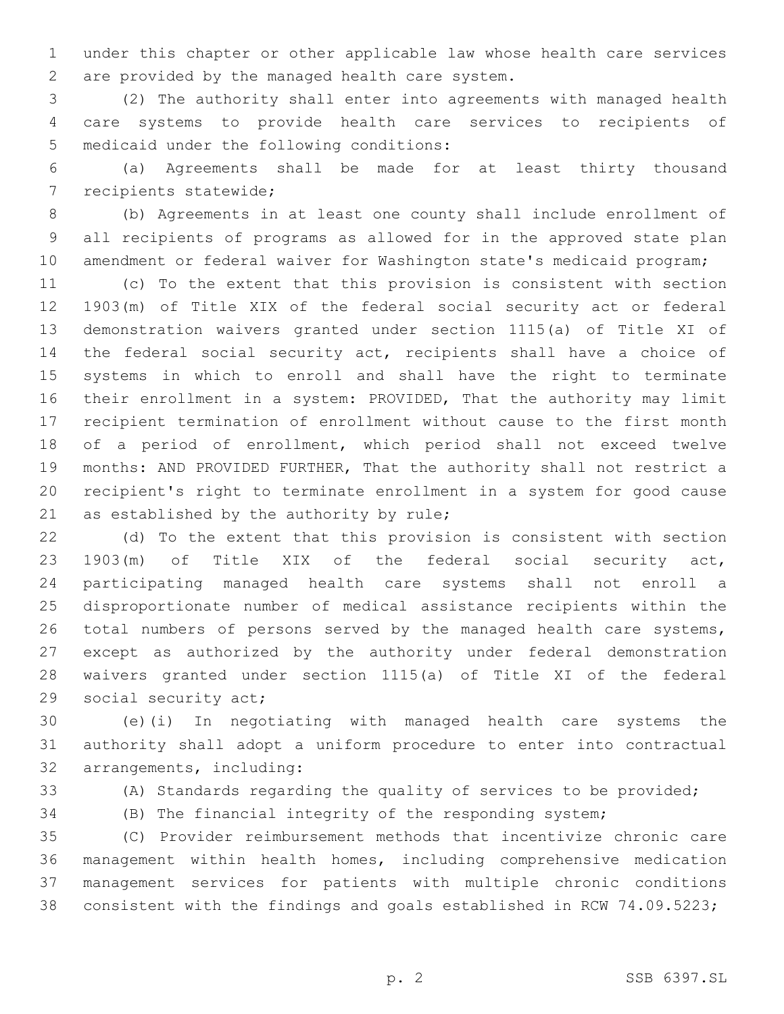under this chapter or other applicable law whose health care services are provided by the managed health care system.2

 (2) The authority shall enter into agreements with managed health care systems to provide health care services to recipients of 5 medicaid under the following conditions:

 (a) Agreements shall be made for at least thirty thousand 7 recipients statewide;

 (b) Agreements in at least one county shall include enrollment of all recipients of programs as allowed for in the approved state plan 10 amendment or federal waiver for Washington state's medicaid program;

 (c) To the extent that this provision is consistent with section 1903(m) of Title XIX of the federal social security act or federal demonstration waivers granted under section 1115(a) of Title XI of the federal social security act, recipients shall have a choice of systems in which to enroll and shall have the right to terminate their enrollment in a system: PROVIDED, That the authority may limit recipient termination of enrollment without cause to the first month of a period of enrollment, which period shall not exceed twelve months: AND PROVIDED FURTHER, That the authority shall not restrict a recipient's right to terminate enrollment in a system for good cause 21 as established by the authority by rule;

 (d) To the extent that this provision is consistent with section 1903(m) of Title XIX of the federal social security act, participating managed health care systems shall not enroll a disproportionate number of medical assistance recipients within the 26 total numbers of persons served by the managed health care systems, except as authorized by the authority under federal demonstration waivers granted under section 1115(a) of Title XI of the federal 29 social security act;

 (e)(i) In negotiating with managed health care systems the authority shall adopt a uniform procedure to enter into contractual 32 arrangements, including:

(A) Standards regarding the quality of services to be provided;

(B) The financial integrity of the responding system;

 (C) Provider reimbursement methods that incentivize chronic care management within health homes, including comprehensive medication management services for patients with multiple chronic conditions consistent with the findings and goals established in RCW 74.09.5223;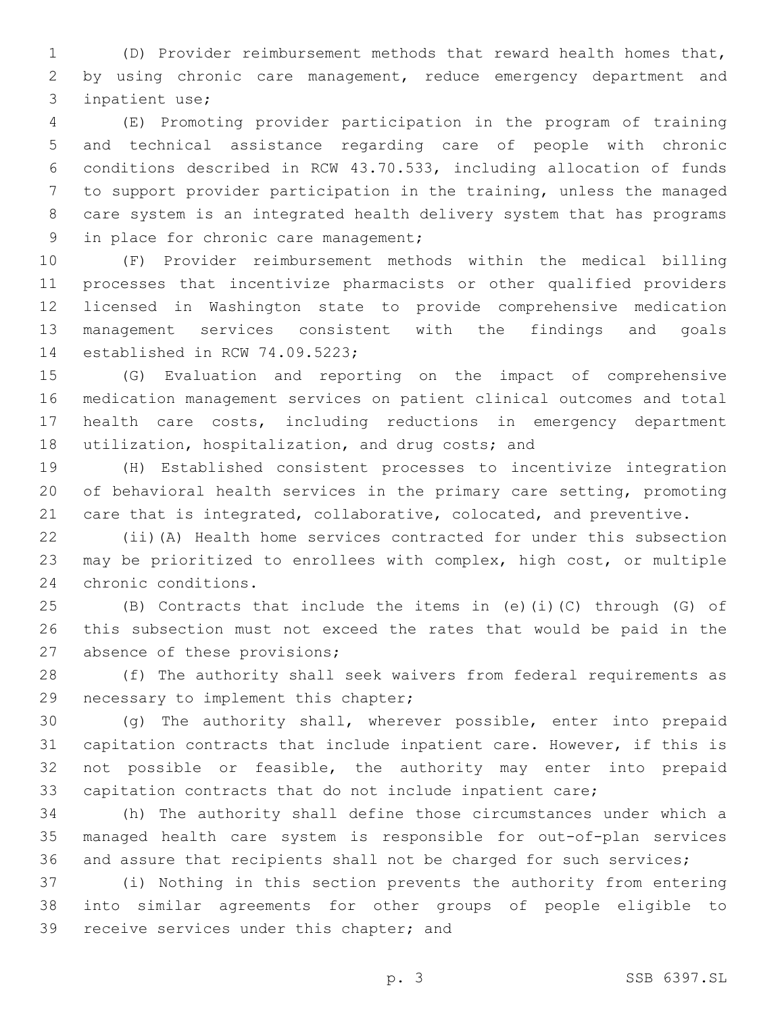(D) Provider reimbursement methods that reward health homes that, by using chronic care management, reduce emergency department and 3 inpatient use;

 (E) Promoting provider participation in the program of training and technical assistance regarding care of people with chronic conditions described in RCW 43.70.533, including allocation of funds to support provider participation in the training, unless the managed care system is an integrated health delivery system that has programs 9 in place for chronic care management;

 (F) Provider reimbursement methods within the medical billing processes that incentivize pharmacists or other qualified providers licensed in Washington state to provide comprehensive medication management services consistent with the findings and goals 14 established in RCW 74.09.5223;

 (G) Evaluation and reporting on the impact of comprehensive medication management services on patient clinical outcomes and total health care costs, including reductions in emergency department 18 utilization, hospitalization, and drug costs; and

 (H) Established consistent processes to incentivize integration of behavioral health services in the primary care setting, promoting care that is integrated, collaborative, colocated, and preventive.

 (ii)(A) Health home services contracted for under this subsection may be prioritized to enrollees with complex, high cost, or multiple 24 chronic conditions.

 (B) Contracts that include the items in (e)(i)(C) through (G) of this subsection must not exceed the rates that would be paid in the 27 absence of these provisions;

 (f) The authority shall seek waivers from federal requirements as 29 necessary to implement this chapter;

 (g) The authority shall, wherever possible, enter into prepaid capitation contracts that include inpatient care. However, if this is not possible or feasible, the authority may enter into prepaid capitation contracts that do not include inpatient care;

 (h) The authority shall define those circumstances under which a managed health care system is responsible for out-of-plan services and assure that recipients shall not be charged for such services;

 (i) Nothing in this section prevents the authority from entering into similar agreements for other groups of people eligible to 39 receive services under this chapter; and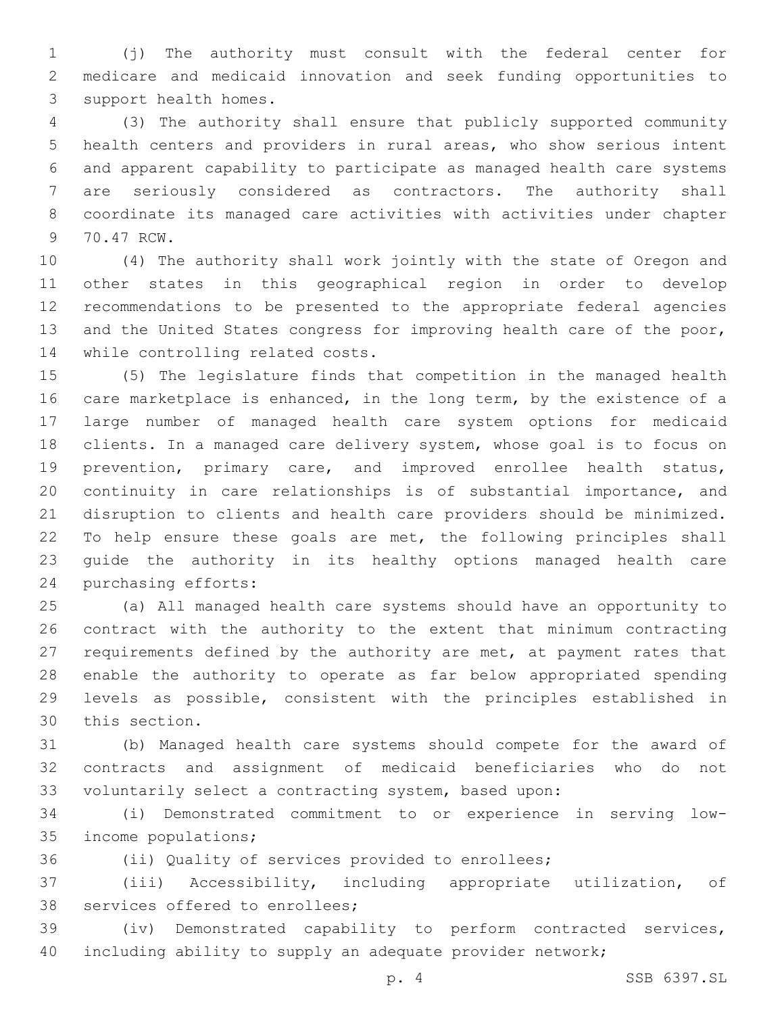(j) The authority must consult with the federal center for medicare and medicaid innovation and seek funding opportunities to 3 support health homes.

 (3) The authority shall ensure that publicly supported community health centers and providers in rural areas, who show serious intent and apparent capability to participate as managed health care systems are seriously considered as contractors. The authority shall coordinate its managed care activities with activities under chapter 9 70.47 RCW.

 (4) The authority shall work jointly with the state of Oregon and other states in this geographical region in order to develop recommendations to be presented to the appropriate federal agencies 13 and the United States congress for improving health care of the poor, 14 while controlling related costs.

 (5) The legislature finds that competition in the managed health 16 care marketplace is enhanced, in the long term, by the existence of a large number of managed health care system options for medicaid clients. In a managed care delivery system, whose goal is to focus on prevention, primary care, and improved enrollee health status, continuity in care relationships is of substantial importance, and disruption to clients and health care providers should be minimized. To help ensure these goals are met, the following principles shall guide the authority in its healthy options managed health care 24 purchasing efforts:

 (a) All managed health care systems should have an opportunity to contract with the authority to the extent that minimum contracting requirements defined by the authority are met, at payment rates that enable the authority to operate as far below appropriated spending levels as possible, consistent with the principles established in 30 this section.

 (b) Managed health care systems should compete for the award of contracts and assignment of medicaid beneficiaries who do not voluntarily select a contracting system, based upon:

 (i) Demonstrated commitment to or experience in serving low-35 income populations;

(ii) Quality of services provided to enrollees;

 (iii) Accessibility, including appropriate utilization, of 38 services offered to enrollees;

 (iv) Demonstrated capability to perform contracted services, including ability to supply an adequate provider network;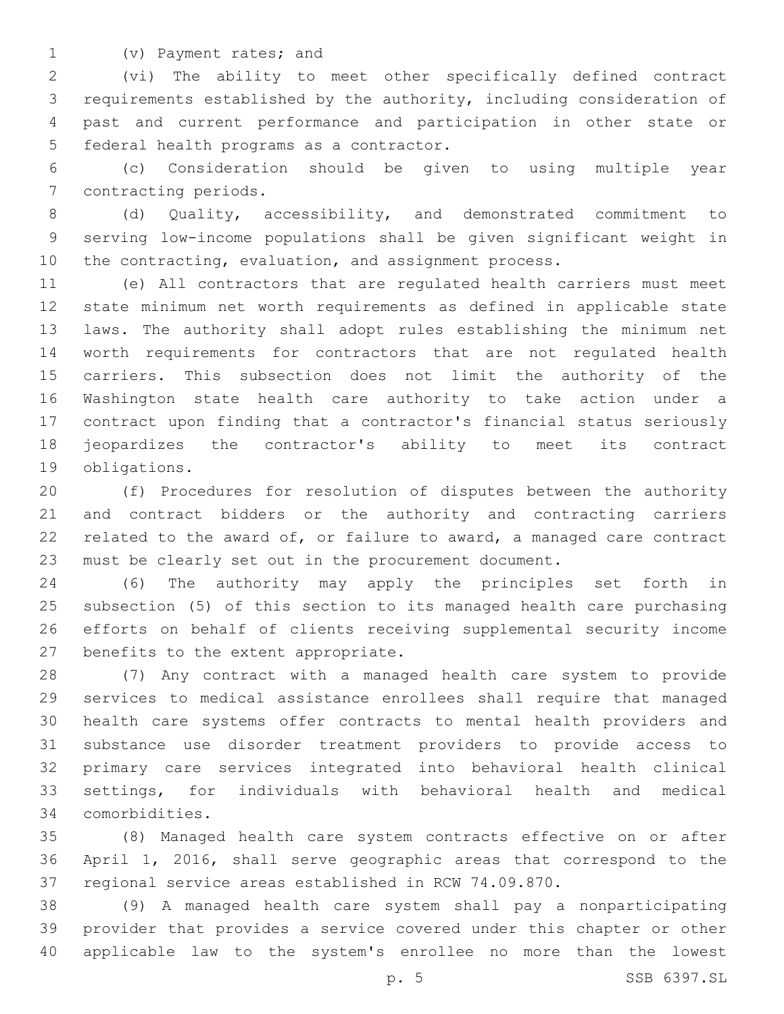(v) Payment rates; and1

 (vi) The ability to meet other specifically defined contract requirements established by the authority, including consideration of past and current performance and participation in other state or 5 federal health programs as a contractor.

 (c) Consideration should be given to using multiple year 7 contracting periods.

 (d) Quality, accessibility, and demonstrated commitment to serving low-income populations shall be given significant weight in 10 the contracting, evaluation, and assignment process.

 (e) All contractors that are regulated health carriers must meet state minimum net worth requirements as defined in applicable state laws. The authority shall adopt rules establishing the minimum net worth requirements for contractors that are not regulated health carriers. This subsection does not limit the authority of the Washington state health care authority to take action under a contract upon finding that a contractor's financial status seriously jeopardizes the contractor's ability to meet its contract 19 obligations.

 (f) Procedures for resolution of disputes between the authority and contract bidders or the authority and contracting carriers 22 related to the award of, or failure to award, a managed care contract must be clearly set out in the procurement document.

 (6) The authority may apply the principles set forth in subsection (5) of this section to its managed health care purchasing efforts on behalf of clients receiving supplemental security income 27 benefits to the extent appropriate.

 (7) Any contract with a managed health care system to provide services to medical assistance enrollees shall require that managed health care systems offer contracts to mental health providers and substance use disorder treatment providers to provide access to primary care services integrated into behavioral health clinical settings, for individuals with behavioral health and medical comorbidities.34

 (8) Managed health care system contracts effective on or after April 1, 2016, shall serve geographic areas that correspond to the regional service areas established in RCW 74.09.870.

 (9) A managed health care system shall pay a nonparticipating provider that provides a service covered under this chapter or other applicable law to the system's enrollee no more than the lowest

p. 5 SSB 6397.SL